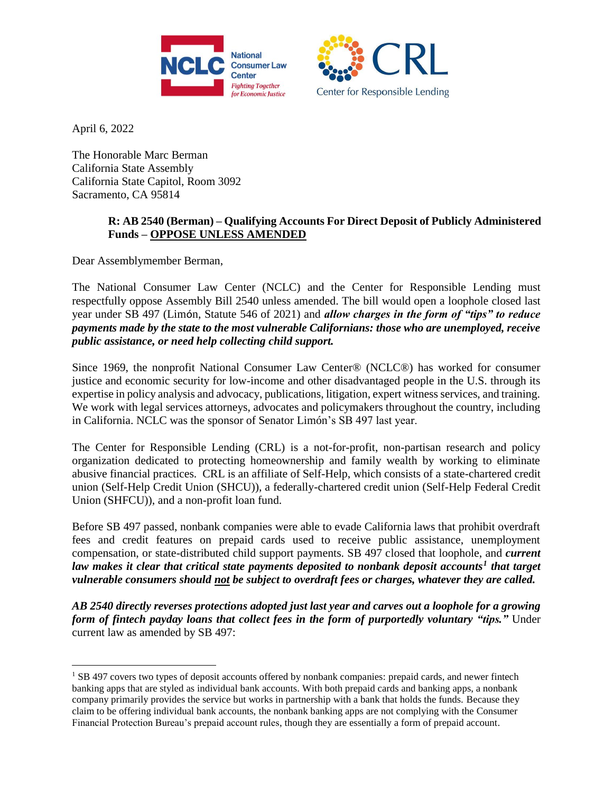



April 6, 2022

 $\overline{a}$ 

The Honorable Marc Berman California State Assembly California State Capitol, Room 3092 Sacramento, CA 95814

## **R: AB 2540 (Berman) – Qualifying Accounts For Direct Deposit of Publicly Administered Funds – OPPOSE UNLESS AMENDED**

Dear Assemblymember Berman,

The National Consumer Law Center (NCLC) and the Center for Responsible Lending must respectfully oppose Assembly Bill 2540 unless amended. The bill would open a loophole closed last year under SB 497 (Limón, Statute 546 of 2021) and *allow charges in the form of "tips" to reduce payments made by the state to the most vulnerable Californians: those who are unemployed, receive public assistance, or need help collecting child support.* 

Since 1969, the nonprofit National Consumer Law Center® (NCLC®) has worked for consumer justice and economic security for low-income and other disadvantaged people in the U.S. through its expertise in policy analysis and advocacy, publications, litigation, expert witness services, and training. We work with legal services attorneys, advocates and policymakers throughout the country, including in California. NCLC was the sponsor of Senator Limón's SB 497 last year.

The Center for Responsible Lending (CRL) is a not-for-profit, non-partisan research and policy organization dedicated to protecting homeownership and family wealth by working to eliminate abusive financial practices. CRL is an affiliate of Self-Help, which consists of a state-chartered credit union (Self-Help Credit Union (SHCU)), a federally-chartered credit union (Self-Help Federal Credit Union (SHFCU)), and a non-profit loan fund.

Before SB 497 passed, nonbank companies were able to evade California laws that prohibit overdraft fees and credit features on prepaid cards used to receive public assistance, unemployment compensation, or state-distributed child support payments. SB 497 closed that loophole, and *current law makes it clear that critical state payments deposited to nonbank deposit accounts<sup>1</sup> that target vulnerable consumers should not be subject to overdraft fees or charges, whatever they are called.* 

*AB 2540 directly reverses protections adopted just last year and carves out a loophole for a growing form of fintech payday loans that collect fees in the form of purportedly voluntary "tips."* Under current law as amended by SB 497:

<sup>&</sup>lt;sup>1</sup> SB 497 covers two types of deposit accounts offered by nonbank companies: prepaid cards, and newer fintech banking apps that are styled as individual bank accounts. With both prepaid cards and banking apps, a nonbank company primarily provides the service but works in partnership with a bank that holds the funds. Because they claim to be offering individual bank accounts, the nonbank banking apps are not complying with the Consumer Financial Protection Bureau's prepaid account rules, though they are essentially a form of prepaid account.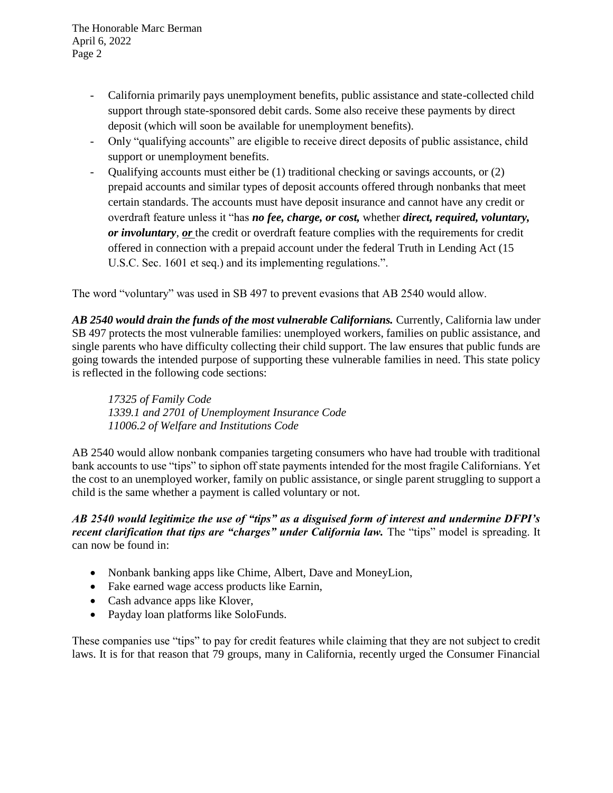The Honorable Marc Berman April 6, 2022 Page 2

- California primarily pays unemployment benefits, public assistance and state-collected child support through state-sponsored debit cards. Some also receive these payments by direct deposit (which will soon be available for unemployment benefits).
- Only "qualifying accounts" are eligible to receive direct deposits of public assistance, child support or unemployment benefits.
- Qualifying accounts must either be (1) traditional checking or savings accounts, or (2) prepaid accounts and similar types of deposit accounts offered through nonbanks that meet certain standards. The accounts must have deposit insurance and cannot have any credit or overdraft feature unless it "has *no fee, charge, or cost,* whether *direct, required, voluntary, or involuntary*, *or* the credit or overdraft feature complies with the requirements for credit offered in connection with a prepaid account under the federal Truth in Lending Act (15 U.S.C. Sec. 1601 et seq.) and its implementing regulations.".

The word "voluntary" was used in SB 497 to prevent evasions that AB 2540 would allow.

*AB 2540 would drain the funds of the most vulnerable Californians.* Currently, California law under SB 497 protects the most vulnerable families: unemployed workers, families on public assistance, and single parents who have difficulty collecting their child support. The law ensures that public funds are going towards the intended purpose of supporting these vulnerable families in need. This state policy is reflected in the following code sections:

*17325 of Family Code 1339.1 and 2701 of Unemployment Insurance Code 11006.2 of Welfare and Institutions Code*

AB 2540 would allow nonbank companies targeting consumers who have had trouble with traditional bank accounts to use "tips" to siphon off state payments intended for the most fragile Californians. Yet the cost to an unemployed worker, family on public assistance, or single parent struggling to support a child is the same whether a payment is called voluntary or not.

*AB 2540 would legitimize the use of "tips" as a disguised form of interest and undermine DFPI's recent clarification that tips are "charges" under California law. The "tips" model is spreading. It* can now be found in:

- Nonbank banking apps like Chime, Albert, Dave and MoneyLion,
- Fake earned wage access products like Earnin,
- Cash advance apps like Klover,
- Payday loan platforms like SoloFunds.

These companies use "tips" to pay for credit features while claiming that they are not subject to credit laws. It is for that reason that 79 groups, many in California, recently urged the Consumer Financial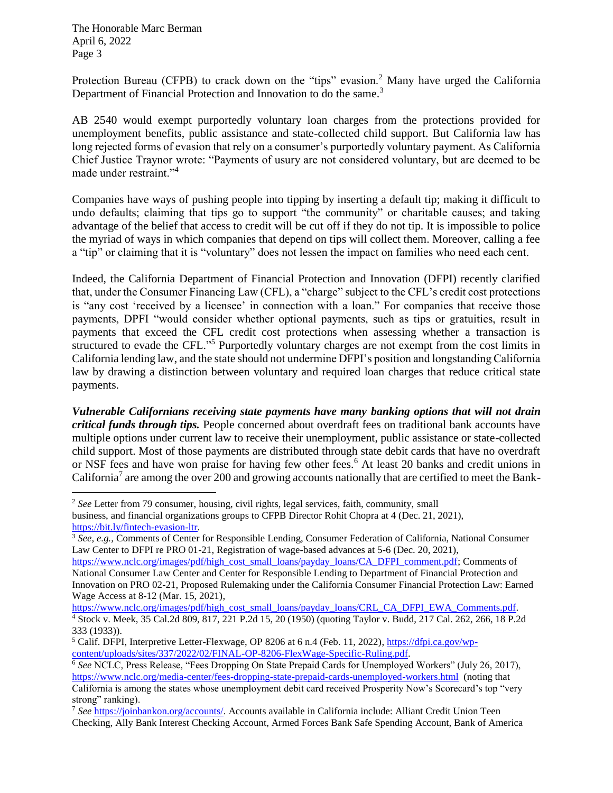The Honorable Marc Berman April 6, 2022 Page 3

 $\overline{a}$ 

Protection Bureau (CFPB) to crack down on the "tips" evasion.<sup>2</sup> Many have urged the California Department of Financial Protection and Innovation to do the same.<sup>3</sup>

AB 2540 would exempt purportedly voluntary loan charges from the protections provided for unemployment benefits, public assistance and state-collected child support. But California law has long rejected forms of evasion that rely on a consumer's purportedly voluntary payment. As California Chief Justice Traynor wrote: "Payments of usury are not considered voluntary, but are deemed to be made under restraint."<sup>4</sup>

Companies have ways of pushing people into tipping by inserting a default tip; making it difficult to undo defaults; claiming that tips go to support "the community" or charitable causes; and taking advantage of the belief that access to credit will be cut off if they do not tip. It is impossible to police the myriad of ways in which companies that depend on tips will collect them. Moreover, calling a fee a "tip" or claiming that it is "voluntary" does not lessen the impact on families who need each cent.

Indeed, the California Department of Financial Protection and Innovation (DFPI) recently clarified that, under the Consumer Financing Law (CFL), a "charge" subject to the CFL's credit cost protections is "any cost 'received by a licensee' in connection with a loan." For companies that receive those payments, DPFI "would consider whether optional payments, such as tips or gratuities, result in payments that exceed the CFL credit cost protections when assessing whether a transaction is structured to evade the CFL."<sup>5</sup> Purportedly voluntary charges are not exempt from the cost limits in California lending law, and the state should not undermine DFPI's position and longstanding California law by drawing a distinction between voluntary and required loan charges that reduce critical state payments.

*Vulnerable Californians receiving state payments have many banking options that will not drain critical funds through tips.* People concerned about overdraft fees on traditional bank accounts have multiple options under current law to receive their unemployment, public assistance or state-collected child support. Most of those payments are distributed through state debit cards that have no overdraft or NSF fees and have won praise for having few other fees.<sup>6</sup> At least 20 banks and credit unions in California<sup>7</sup> are among the over 200 and growing accounts nationally that are certified to meet the Bank-

<sup>2</sup> *See* Letter from 79 consumer, housing, civil rights, legal services, faith, community, small business, and financial organizations groups to CFPB Director Rohit Chopra at 4 (Dec. 21, 2021), [https://bit.ly/fintech-evasion-ltr.](https://bit.ly/fintech-evasion-ltr) 

<sup>&</sup>lt;sup>3</sup> See, e.g., Comments of Center for Responsible Lending, Consumer Federation of California, National Consumer Law Center to DFPI re PRO 01-21, Registration of wage-based advances at 5-6 (Dec. 20, 2021),

[https://www.nclc.org/images/pdf/high\\_cost\\_small\\_loans/payday\\_loans/CA\\_DFPI\\_comment.pdf;](https://www.nclc.org/images/pdf/high_cost_small_loans/payday_loans/CA_DFPI_comment.pdf) Comments of National Consumer Law Center and Center for Responsible Lending to Department of Financial Protection and Innovation on PRO 02-21, Proposed Rulemaking under the California Consumer Financial Protection Law: Earned Wage Access at 8-12 (Mar. 15, 2021),

[https://www.nclc.org/images/pdf/high\\_cost\\_small\\_loans/payday\\_loans/CRL\\_CA\\_DFPI\\_EWA\\_Comments.pdf.](https://www.nclc.org/images/pdf/high_cost_small_loans/payday_loans/CRL_CA_DFPI_EWA_Comments.pdf) <sup>4</sup> Stock v. Meek, 35 Cal.2d 809, 817, 221 P.2d 15, 20 (1950) (quoting Taylor v. Budd, 217 Cal. 262, 266, 18 P.2d 333 (1933)).

<sup>5</sup> Calif. DFPI, Interpretive Letter-Flexwage, OP 8206 at 6 n.4 (Feb. 11, 2022)[, https://dfpi.ca.gov/wp](https://dfpi.ca.gov/wp-content/uploads/sites/337/2022/02/FINAL-OP-8206-FlexWage-Specific-Ruling.pdf)[content/uploads/sites/337/2022/02/FINAL-OP-8206-FlexWage-Specific-Ruling.pdf.](https://dfpi.ca.gov/wp-content/uploads/sites/337/2022/02/FINAL-OP-8206-FlexWage-Specific-Ruling.pdf)

<sup>6</sup> *See* NCLC, Press Release, "Fees Dropping On State Prepaid Cards for Unemployed Workers" (July 26, 2017), <https://www.nclc.org/media-center/fees-dropping-state-prepaid-cards-unemployed-workers.html>(noting that California is among the states whose unemployment debit card received Prosperity Now's Scorecard's top "very strong" ranking).

<sup>7</sup> *See* [https://joinbankon.org/accounts/.](https://joinbankon.org/accounts/) Accounts available in California include: Alliant Credit Union Teen Checking, Ally Bank Interest Checking Account, Armed Forces Bank Safe Spending Account, Bank of America